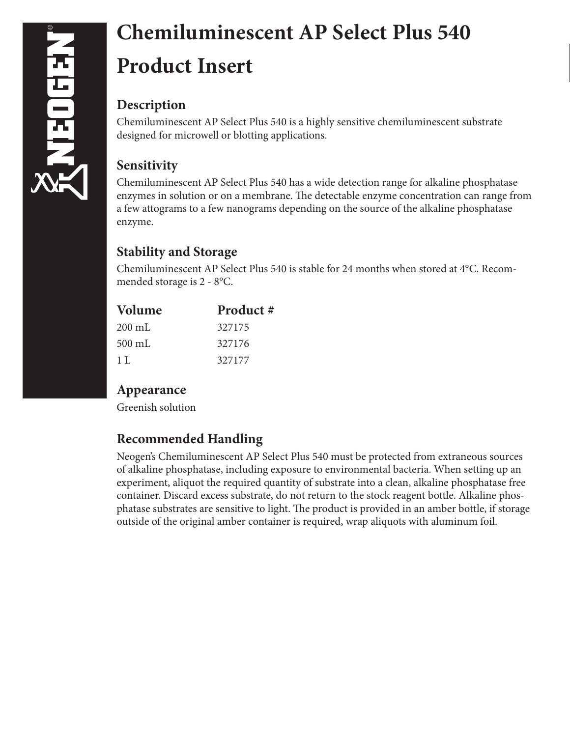# **Chemiluminescent AP Select Plus 540 Product Insert**

### **Description**

Chemiluminescent AP Select Plus 540 is a highly sensitive chemiluminescent substrate designed for microwell or blotting applications.

## **Sensitivity**

Chemiluminescent AP Select Plus 540 has a wide detection range for alkaline phosphatase enzymes in solution or on a membrane. The detectable enzyme concentration can range from a few attograms to a few nanograms depending on the source of the alkaline phosphatase enzyme.

## **Stability and Storage**

Chemiluminescent AP Select Plus 540 is stable for 24 months when stored at 4°C. Recommended storage is 2 - 8°C.

| <b>Volume</b>    | Product # |
|------------------|-----------|
| $200 \text{ mL}$ | 327175    |
| $500 \text{ mL}$ | 327176    |
| 1 L              | 327177    |

## **Appearance**

Greenish solution

## **Recommended Handling**

Neogen's Chemiluminescent AP Select Plus 540 must be protected from extraneous sources of alkaline phosphatase, including exposure to environmental bacteria. When setting up an experiment, aliquot the required quantity of substrate into a clean, alkaline phosphatase free container. Discard excess substrate, do not return to the stock reagent bottle. Alkaline phosphatase substrates are sensitive to light. The product is provided in an amber bottle, if storage outside of the original amber container is required, wrap aliquots with aluminum foil.